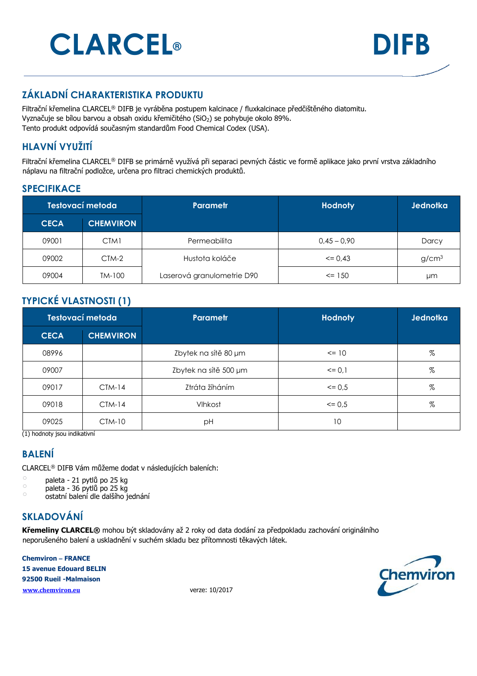# **CLARCEL® DIFB**



### **ZÁKLADNÍ CHARAKTERISTIKA PRODUKTU**

Filtrační křemelina CLARCEL® DIFB je vyráběna postupem kalcinace / fluxkalcinace předčištěného diatomitu. Vyznačuje se bílou barvou a obsah oxidu křemičitého (SiO<sub>2</sub>) se pohybuje okolo 89%. Tento produkt odpovídá současným standardům Food Chemical Codex (USA).

#### **HLAVNÍ VYUŽITÍ**

Filtrační křemelina CLARCEL® DIFB se primárně využívá při separaci pevných částic ve formě aplikace jako první vrstva základního náplavu na filtrační podložce, určena pro filtraci chemických produktů.

#### **SPECIFIKACE**

| Testovací metoda |                  | <b>Parametr</b>            | <b>Hodnoty</b> | Jednotka          |
|------------------|------------------|----------------------------|----------------|-------------------|
| <b>CECA</b>      | <b>CHEMVIRON</b> |                            |                |                   |
| 09001            | CTM1             | Permeabilita               | $0.45 - 0.90$  | Darcy             |
| 09002            | CTM-2            | Hustota koláče             | $\leq$ 0.43    | g/cm <sup>3</sup> |
| 09004            | TM-100           | Laserová granulometrie D90 | $\le$ 150      | μm                |

#### **TYPICKÉ VLASTNOSTI (1)**

| Testovací metoda |                  | <b>Parametr</b>       | <b>Hodnoty</b> | Jednotka |
|------------------|------------------|-----------------------|----------------|----------|
| <b>CECA</b>      | <b>CHEMVIRON</b> |                       |                |          |
| 08996            |                  | Zbytek na sítě 80 µm  | $\leq$ 10      | %        |
| 09007            |                  | Zbytek na sítě 500 µm | $= 0.1$        | %        |
| 09017            | $CTM-14$         | Ztráta žíháním        | $\leq$ 0.5     | %        |
| 09018            | $CTM-14$         | Vlhkost               | $\leq$ 0.5     | %        |
| 09025            | CTM-10           | рH                    | 10             |          |

(1) hodnoty jsou indikativní

#### **BALENÍ**

CLARCEL® DIFB Vám můžeme dodat v následujících baleních:

 $\degree$  paleta - 21 pytlů po 25 kg

 $\degree$  paleta - 36 pytlů po 25 kg

o ostatní balení dle dalšího jednání

#### **SKLADOVÁNÍ**

**Křemeliny CLARCEL®** mohou být skladovány až 2 roky od data dodání za předpokladu zachování originálního neporušeného balení a uskladnění v suchém skladu bez přítomnosti těkavých látek.

**Chemviron – FRANCE 15 avenue Edouard BELIN 92500 Rueil -Malmaison www.chemviron.eu** verze: 10/2017